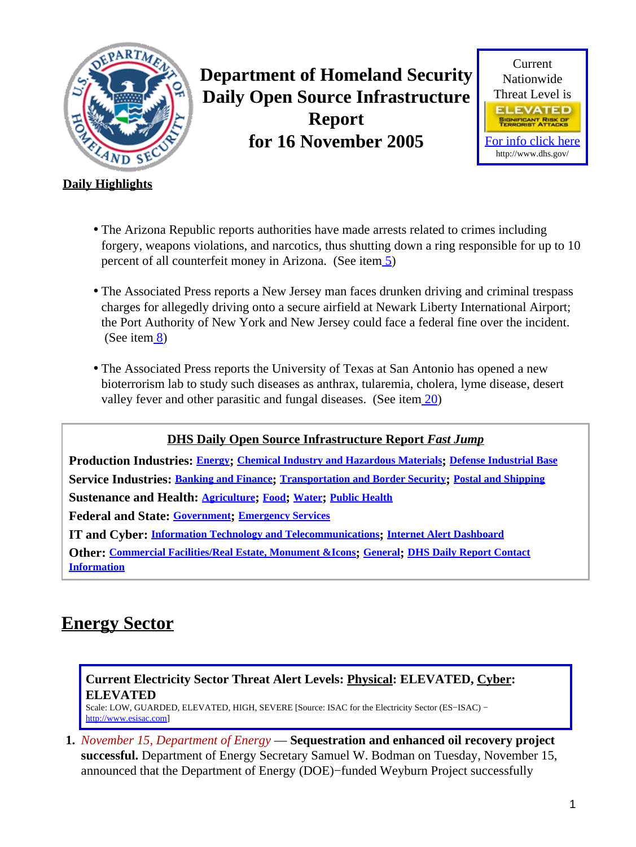<span id="page-0-1"></span>

**Department of Homeland Security Daily Open Source Infrastructure Report for 16 November 2005**



## **Daily Highlights**

- The Arizona Republic reports authorities have made arrests related to crimes including forgery, weapons violations, and narcotics, thus shutting down a ring responsible for up to 10 percent of all counterfeit money in Arizona. (See ite[m 5](#page-2-0))
- The Associated Press reports a New Jersey man faces drunken driving and criminal trespass charges for allegedly driving onto a secure airfield at Newark Liberty International Airport; the Port Authority of New York and New Jersey could face a federal fine over the incident. (See item [8](#page-3-0))
- The Associated Press reports the University of Texas at San Antonio has opened a new bioterrorism lab to study such diseases as anthrax, tularemia, cholera, lyme disease, desert valley fever and other parasitic and fungal diseases. (See item  $\overline{20}$ )

**DHS Daily Open Source Infrastructure Report** *Fast Jump*

**Production Industries: [Energy](#page-0-0); [Chemical Industry and Hazardous Materials](#page-1-0); [Defense Industrial Base](#page-1-1) Service Industries: [Banking and Finance](#page-2-1); [Transportation and Border Security](#page-3-1); [Postal and Shipping](#page-4-0) Sustenance and Health: [Agriculture](#page-5-0); [Food](#page-6-0); [Water](#page-6-1); [Public Health](#page-6-2) Federal and State: [Government](#page-8-0); [Emergency Services](#page-8-1) IT and Cyber: [Information Technology and Telecommunications](#page-9-0); [Internet Alert Dashboard](#page-10-0) Other: [Commercial Facilities/Real Estate, Monument &Icons](#page-11-0); [General](#page-11-1); [DHS Daily Report Contact](#page-11-2) [Information](#page-11-2)**

## <span id="page-0-0"></span>**Energy Sector**

## **Current Electricity Sector Threat Alert Levels: Physical: ELEVATED, Cyber: ELEVATED**

Scale: LOW, GUARDED, ELEVATED, HIGH, SEVERE [Source: ISAC for the Electricity Sector (ES−ISAC) − [http://www.esisac.com](http://esisac.com)]

**1.** *November 15, Department of Energy* — **Sequestration and enhanced oil recovery project successful.** Department of Energy Secretary Samuel W. Bodman on Tuesday, November 15, announced that the Department of Energy (DOE)−funded Weyburn Project successfully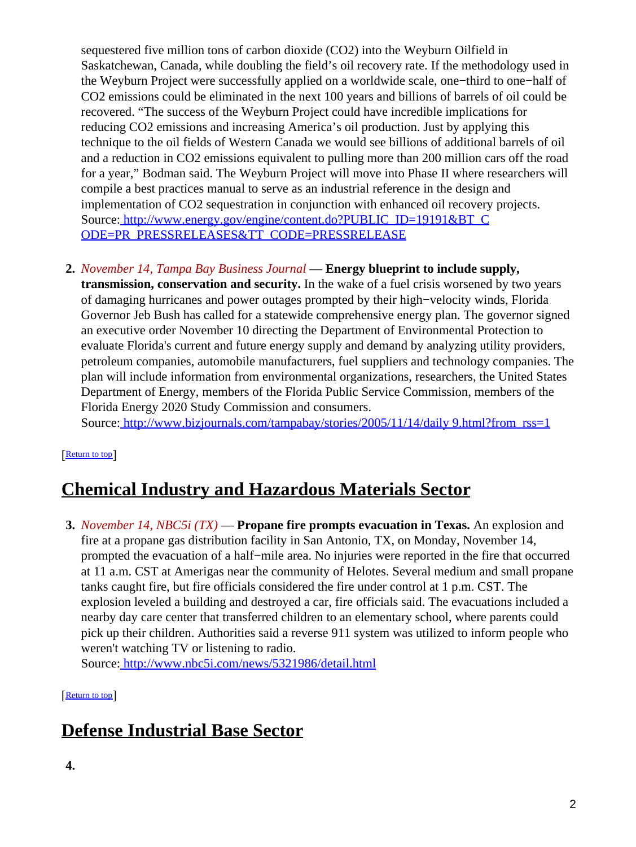sequestered five million tons of carbon dioxide (CO2) into the Weyburn Oilfield in Saskatchewan, Canada, while doubling the field's oil recovery rate. If the methodology used in the Weyburn Project were successfully applied on a worldwide scale, one−third to one−half of CO2 emissions could be eliminated in the next 100 years and billions of barrels of oil could be recovered. "The success of the Weyburn Project could have incredible implications for reducing CO2 emissions and increasing America's oil production. Just by applying this technique to the oil fields of Western Canada we would see billions of additional barrels of oil and a reduction in CO2 emissions equivalent to pulling more than 200 million cars off the road for a year," Bodman said. The Weyburn Project will move into Phase II where researchers will compile a best practices manual to serve as an industrial reference in the design and implementation of CO2 sequestration in conjunction with enhanced oil recovery projects. Source[: http://www.energy.gov/engine/content.do?PUBLIC\\_ID=19191&BT\\_C](http://www.energy.gov/engine/content.do?PUBLIC_ID=19191&BT_CODE=PR_PRESSRELEASES&TT_CODE=PRESSRELEASE) [ODE=PR\\_PRESSRELEASES&TT\\_CODE=PRESSRELEASE](http://www.energy.gov/engine/content.do?PUBLIC_ID=19191&BT_CODE=PR_PRESSRELEASES&TT_CODE=PRESSRELEASE)

## **2.** *November 14, Tampa Bay Business Journal* — **Energy blueprint to include supply,**

**transmission, conservation and security.** In the wake of a fuel crisis worsened by two years of damaging hurricanes and power outages prompted by their high−velocity winds, Florida Governor Jeb Bush has called for a statewide comprehensive energy plan. The governor signed an executive order November 10 directing the Department of Environmental Protection to evaluate Florida's current and future energy supply and demand by analyzing utility providers, petroleum companies, automobile manufacturers, fuel suppliers and technology companies. The plan will include information from environmental organizations, researchers, the United States Department of Energy, members of the Florida Public Service Commission, members of the Florida Energy 2020 Study Commission and consumers.

Source[: http://www.bizjournals.com/tampabay/stories/2005/11/14/daily 9.html?from\\_rss=1](http://www.bizjournals.com/tampabay/stories/2005/11/14/daily9.html?from_rss=1)

### [[Return to top](#page-0-1)]

## <span id="page-1-0"></span>**Chemical Industry and Hazardous Materials Sector**

**3.** *November 14, NBC5i (TX)* — **Propane fire prompts evacuation in Texas.** An explosion and fire at a propane gas distribution facility in San Antonio, TX, on Monday, November 14, prompted the evacuation of a half−mile area. No injuries were reported in the fire that occurred at 11 a.m. CST at Amerigas near the community of Helotes. Several medium and small propane tanks caught fire, but fire officials considered the fire under control at 1 p.m. CST. The explosion leveled a building and destroyed a car, fire officials said. The evacuations included a nearby day care center that transferred children to an elementary school, where parents could pick up their children. Authorities said a reverse 911 system was utilized to inform people who weren't watching TV or listening to radio.

Source[: http://www.nbc5i.com/news/5321986/detail.html](http://www.nbc5i.com/news/5321986/detail.html)

[[Return to top](#page-0-1)]

## <span id="page-1-1"></span>**Defense Industrial Base Sector**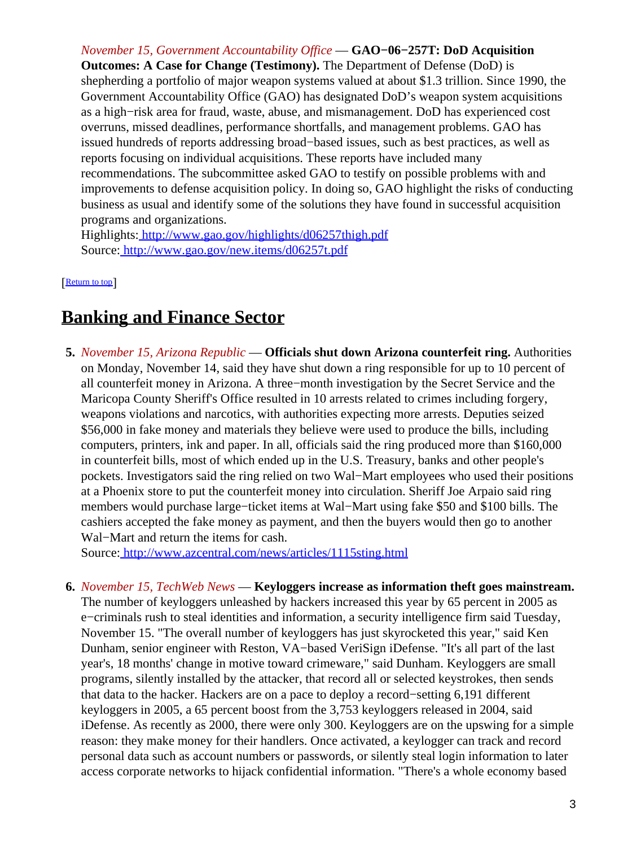*November 15, Government Accountability Office* — **GAO−06−257T: DoD Acquisition**

**Outcomes: A Case for Change (Testimony).** The Department of Defense (DoD) is shepherding a portfolio of major weapon systems valued at about \$1.3 trillion. Since 1990, the Government Accountability Office (GAO) has designated DoD's weapon system acquisitions as a high−risk area for fraud, waste, abuse, and mismanagement. DoD has experienced cost overruns, missed deadlines, performance shortfalls, and management problems. GAO has issued hundreds of reports addressing broad−based issues, such as best practices, as well as reports focusing on individual acquisitions. These reports have included many recommendations. The subcommittee asked GAO to testify on possible problems with and improvements to defense acquisition policy. In doing so, GAO highlight the risks of conducting business as usual and identify some of the solutions they have found in successful acquisition programs and organizations.

Highlights:<http://www.gao.gov/highlights/d06257thigh.pdf> Source[: http://www.gao.gov/new.items/d06257t.pdf](http://www.gao.gov/new.items/d06257t.pdf)

[[Return to top](#page-0-1)]

## <span id="page-2-1"></span>**Banking and Finance Sector**

<span id="page-2-0"></span>**5.** *November 15, Arizona Republic* — **Officials shut down Arizona counterfeit ring.** Authorities on Monday, November 14, said they have shut down a ring responsible for up to 10 percent of all counterfeit money in Arizona. A three−month investigation by the Secret Service and the Maricopa County Sheriff's Office resulted in 10 arrests related to crimes including forgery, weapons violations and narcotics, with authorities expecting more arrests. Deputies seized \$56,000 in fake money and materials they believe were used to produce the bills, including computers, printers, ink and paper. In all, officials said the ring produced more than \$160,000 in counterfeit bills, most of which ended up in the U.S. Treasury, banks and other people's pockets. Investigators said the ring relied on two Wal−Mart employees who used their positions at a Phoenix store to put the counterfeit money into circulation. Sheriff Joe Arpaio said ring members would purchase large−ticket items at Wal−Mart using fake \$50 and \$100 bills. The cashiers accepted the fake money as payment, and then the buyers would then go to another Wal−Mart and return the items for cash.

Source[: http://www.azcentral.com/news/articles/1115sting.html](http://www.azcentral.com/news/articles/1115sting.html)

**6.** *November 15, TechWeb News* — **Keyloggers increase as information theft goes mainstream.** The number of keyloggers unleashed by hackers increased this year by 65 percent in 2005 as e−criminals rush to steal identities and information, a security intelligence firm said Tuesday, November 15. "The overall number of keyloggers has just skyrocketed this year," said Ken Dunham, senior engineer with Reston, VA−based VeriSign iDefense. "It's all part of the last year's, 18 months' change in motive toward crimeware," said Dunham. Keyloggers are small programs, silently installed by the attacker, that record all or selected keystrokes, then sends that data to the hacker. Hackers are on a pace to deploy a record−setting 6,191 different keyloggers in 2005, a 65 percent boost from the 3,753 keyloggers released in 2004, said iDefense. As recently as 2000, there were only 300. Keyloggers are on the upswing for a simple reason: they make money for their handlers. Once activated, a keylogger can track and record personal data such as account numbers or passwords, or silently steal login information to later access corporate networks to hijack confidential information. "There's a whole economy based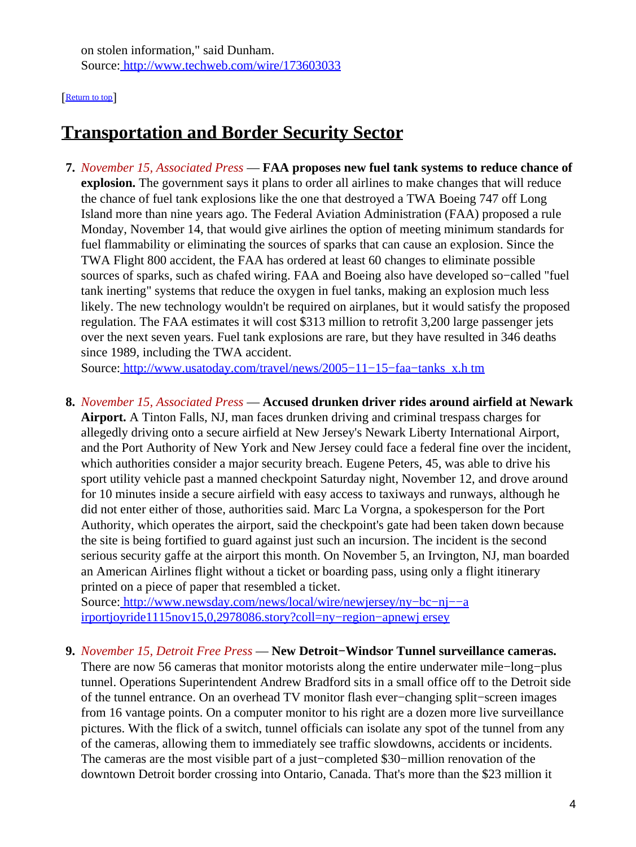on stolen information," said Dunham. Source[: http://www.techweb.com/wire/173603033](http://www.techweb.com/wire/173603033)

#### [[Return to top](#page-0-1)]

## <span id="page-3-1"></span>**Transportation and Border Security Sector**

**7.** *November 15, Associated Press* — **FAA proposes new fuel tank systems to reduce chance of explosion.** The government says it plans to order all airlines to make changes that will reduce the chance of fuel tank explosions like the one that destroyed a TWA Boeing 747 off Long Island more than nine years ago. The Federal Aviation Administration (FAA) proposed a rule Monday, November 14, that would give airlines the option of meeting minimum standards for fuel flammability or eliminating the sources of sparks that can cause an explosion. Since the TWA Flight 800 accident, the FAA has ordered at least 60 changes to eliminate possible sources of sparks, such as chafed wiring. FAA and Boeing also have developed so−called "fuel tank inerting" systems that reduce the oxygen in fuel tanks, making an explosion much less likely. The new technology wouldn't be required on airplanes, but it would satisfy the proposed regulation. The FAA estimates it will cost \$313 million to retrofit 3,200 large passenger jets over the next seven years. Fuel tank explosions are rare, but they have resulted in 346 deaths since 1989, including the TWA accident.

Source[: http://www.usatoday.com/travel/news/2005−11−15−faa−tanks\\_x.h tm](http://www.usatoday.com/travel/news/2005-11-15-faa-tanks_x.htm)

<span id="page-3-0"></span>**8.** *November 15, Associated Press* — **Accused drunken driver rides around airfield at Newark Airport.** A Tinton Falls, NJ, man faces drunken driving and criminal trespass charges for allegedly driving onto a secure airfield at New Jersey's Newark Liberty International Airport, and the Port Authority of New York and New Jersey could face a federal fine over the incident, which authorities consider a major security breach. Eugene Peters, 45, was able to drive his sport utility vehicle past a manned checkpoint Saturday night, November 12, and drove around for 10 minutes inside a secure airfield with easy access to taxiways and runways, although he did not enter either of those, authorities said. Marc La Vorgna, a spokesperson for the Port Authority, which operates the airport, said the checkpoint's gate had been taken down because the site is being fortified to guard against just such an incursion. The incident is the second serious security gaffe at the airport this month. On November 5, an Irvington, NJ, man boarded an American Airlines flight without a ticket or boarding pass, using only a flight itinerary printed on a piece of paper that resembled a ticket.

Source[: http://www.newsday.com/news/local/wire/newjersey/ny−bc−nj−−a](http://www.newsday.com/news/local/wire/newjersey/ny-bc-nj--airportjoyride1115nov15,0,2978086.story?coll=ny-region-apnewjersey) [irportjoyride1115nov15,0,2978086.story?coll=ny−region−apnewj ersey](http://www.newsday.com/news/local/wire/newjersey/ny-bc-nj--airportjoyride1115nov15,0,2978086.story?coll=ny-region-apnewjersey)

#### **9.** *November 15, Detroit Free Press* — **New Detroit−Windsor Tunnel surveillance cameras.**

There are now 56 cameras that monitor motorists along the entire underwater mile–long–plus tunnel. Operations Superintendent Andrew Bradford sits in a small office off to the Detroit side of the tunnel entrance. On an overhead TV monitor flash ever−changing split−screen images from 16 vantage points. On a computer monitor to his right are a dozen more live surveillance pictures. With the flick of a switch, tunnel officials can isolate any spot of the tunnel from any of the cameras, allowing them to immediately see traffic slowdowns, accidents or incidents. The cameras are the most visible part of a just−completed \$30−million renovation of the downtown Detroit border crossing into Ontario, Canada. That's more than the \$23 million it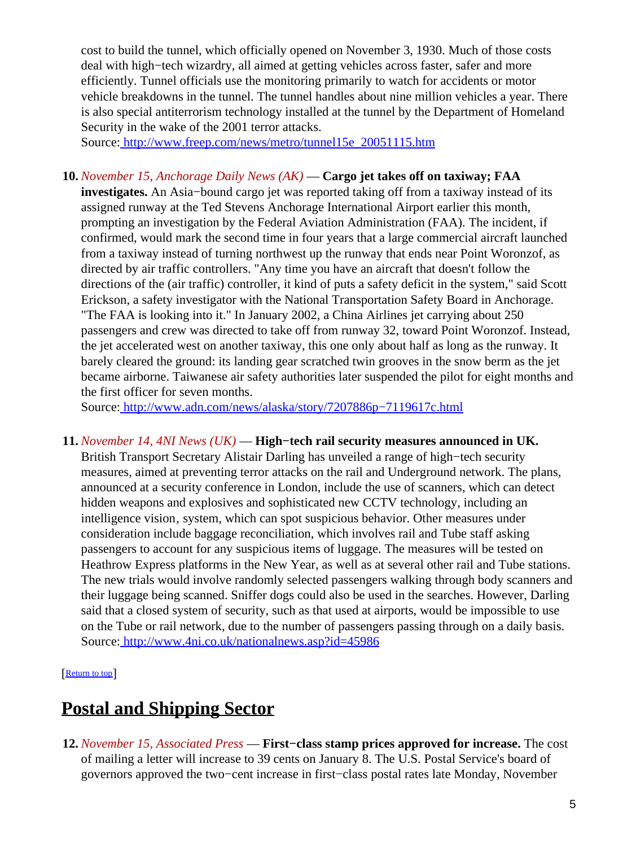cost to build the tunnel, which officially opened on November 3, 1930. Much of those costs deal with high−tech wizardry, all aimed at getting vehicles across faster, safer and more efficiently. Tunnel officials use the monitoring primarily to watch for accidents or motor vehicle breakdowns in the tunnel. The tunnel handles about nine million vehicles a year. There is also special antiterrorism technology installed at the tunnel by the Department of Homeland Security in the wake of the 2001 terror attacks.

Source[: http://www.freep.com/news/metro/tunnel15e\\_20051115.htm](http://www.freep.com/news/metro/tunnel15e_20051115.htm)

### **10.** *November 15, Anchorage Daily News (AK)* — **Cargo jet takes off on taxiway; FAA**

**investigates.** An Asia−bound cargo jet was reported taking off from a taxiway instead of its assigned runway at the Ted Stevens Anchorage International Airport earlier this month, prompting an investigation by the Federal Aviation Administration (FAA). The incident, if confirmed, would mark the second time in four years that a large commercial aircraft launched from a taxiway instead of turning northwest up the runway that ends near Point Woronzof, as directed by air traffic controllers. "Any time you have an aircraft that doesn't follow the directions of the (air traffic) controller, it kind of puts a safety deficit in the system," said Scott Erickson, a safety investigator with the National Transportation Safety Board in Anchorage. "The FAA is looking into it." In January 2002, a China Airlines jet carrying about 250 passengers and crew was directed to take off from runway 32, toward Point Woronzof. Instead, the jet accelerated west on another taxiway, this one only about half as long as the runway. It barely cleared the ground: its landing gear scratched twin grooves in the snow berm as the jet became airborne. Taiwanese air safety authorities later suspended the pilot for eight months and the first officer for seven months.

Source[: http://www.adn.com/news/alaska/story/7207886p−7119617c.html](http://www.adn.com/news/alaska/story/7207886p-7119617c.html)

#### **11.** *November 14, 4NI News (UK)* — **High−tech rail security measures announced in UK.**

British Transport Secretary Alistair Darling has unveiled a range of high−tech security measures, aimed at preventing terror attacks on the rail and Underground network. The plans, announced at a security conference in London, include the use of scanners, which can detect hidden weapons and explosives and sophisticated new CCTV technology, including an intelligence vision, system, which can spot suspicious behavior. Other measures under consideration include baggage reconciliation, which involves rail and Tube staff asking passengers to account for any suspicious items of luggage. The measures will be tested on Heathrow Express platforms in the New Year, as well as at several other rail and Tube stations. The new trials would involve randomly selected passengers walking through body scanners and their luggage being scanned. Sniffer dogs could also be used in the searches. However, Darling said that a closed system of security, such as that used at airports, would be impossible to use on the Tube or rail network, due to the number of passengers passing through on a daily basis. Source[: http://www.4ni.co.uk/nationalnews.asp?id=45986](http://www.4ni.co.uk/nationalnews.asp?id=45986)

[[Return to top](#page-0-1)]

## <span id="page-4-0"></span>**Postal and Shipping Sector**

**12.** *November 15, Associated Press* — **First−class stamp prices approved for increase.** The cost of mailing a letter will increase to 39 cents on January 8. The U.S. Postal Service's board of governors approved the two−cent increase in first−class postal rates late Monday, November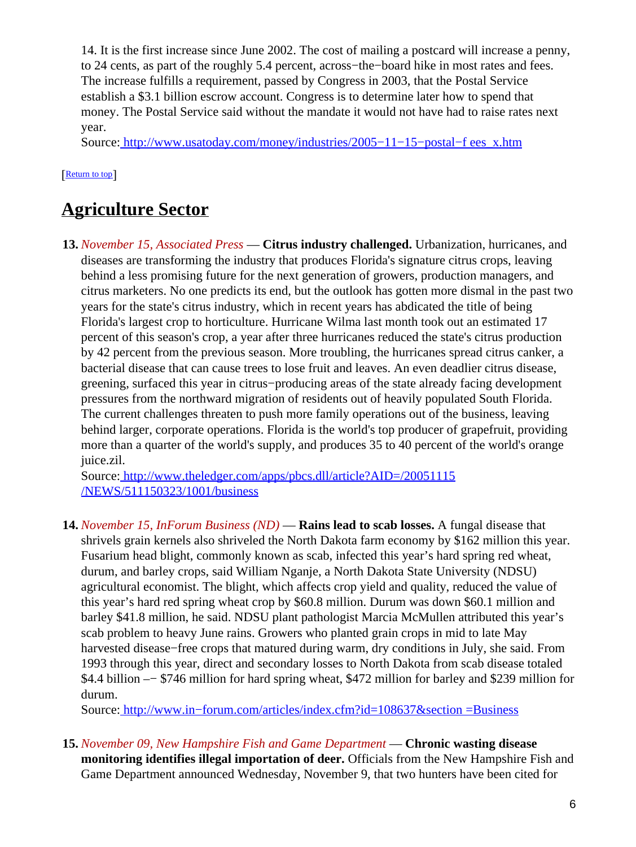14. It is the first increase since June 2002. The cost of mailing a postcard will increase a penny, to 24 cents, as part of the roughly 5.4 percent, across−the−board hike in most rates and fees. The increase fulfills a requirement, passed by Congress in 2003, that the Postal Service establish a \$3.1 billion escrow account. Congress is to determine later how to spend that money. The Postal Service said without the mandate it would not have had to raise rates next year.

Source[: http://www.usatoday.com/money/industries/2005−11−15−postal−f ees\\_x.htm](http://www.usatoday.com/money/industries/2005-11-15-postal-fees_x.htm)

## [[Return to top](#page-0-1)]

## <span id="page-5-0"></span>**Agriculture Sector**

**13.** *November 15, Associated Press* — **Citrus industry challenged.** Urbanization, hurricanes, and diseases are transforming the industry that produces Florida's signature citrus crops, leaving behind a less promising future for the next generation of growers, production managers, and citrus marketers. No one predicts its end, but the outlook has gotten more dismal in the past two years for the state's citrus industry, which in recent years has abdicated the title of being Florida's largest crop to horticulture. Hurricane Wilma last month took out an estimated 17 percent of this season's crop, a year after three hurricanes reduced the state's citrus production by 42 percent from the previous season. More troubling, the hurricanes spread citrus canker, a bacterial disease that can cause trees to lose fruit and leaves. An even deadlier citrus disease, greening, surfaced this year in citrus−producing areas of the state already facing development pressures from the northward migration of residents out of heavily populated South Florida. The current challenges threaten to push more family operations out of the business, leaving behind larger, corporate operations. Florida is the world's top producer of grapefruit, providing more than a quarter of the world's supply, and produces 35 to 40 percent of the world's orange juice.zil.

Source[: http://www.theledger.com/apps/pbcs.dll/article?AID=/20051115](http://www.theledger.com/apps/pbcs.dll/article?AID=/20051115/NEWS/511150323/1001/business) [/NEWS/511150323/1001/business](http://www.theledger.com/apps/pbcs.dll/article?AID=/20051115/NEWS/511150323/1001/business)

**14.** *November 15, InForum Business (ND)* — **Rains lead to scab losses.** A fungal disease that shrivels grain kernels also shriveled the North Dakota farm economy by \$162 million this year. Fusarium head blight, commonly known as scab, infected this year's hard spring red wheat, durum, and barley crops, said William Nganje, a North Dakota State University (NDSU) agricultural economist. The blight, which affects crop yield and quality, reduced the value of this year's hard red spring wheat crop by \$60.8 million. Durum was down \$60.1 million and barley \$41.8 million, he said. NDSU plant pathologist Marcia McMullen attributed this year's scab problem to heavy June rains. Growers who planted grain crops in mid to late May harvested disease−free crops that matured during warm, dry conditions in July, she said. From 1993 through this year, direct and secondary losses to North Dakota from scab disease totaled \$4.4 billion –− \$746 million for hard spring wheat, \$472 million for barley and \$239 million for durum.

Source: http://www.in–forum.com/articles/index.cfm?id=108637&section =Business

**15.** *November 09, New Hampshire Fish and Game Department* — **Chronic wasting disease monitoring identifies illegal importation of deer.** Officials from the New Hampshire Fish and Game Department announced Wednesday, November 9, that two hunters have been cited for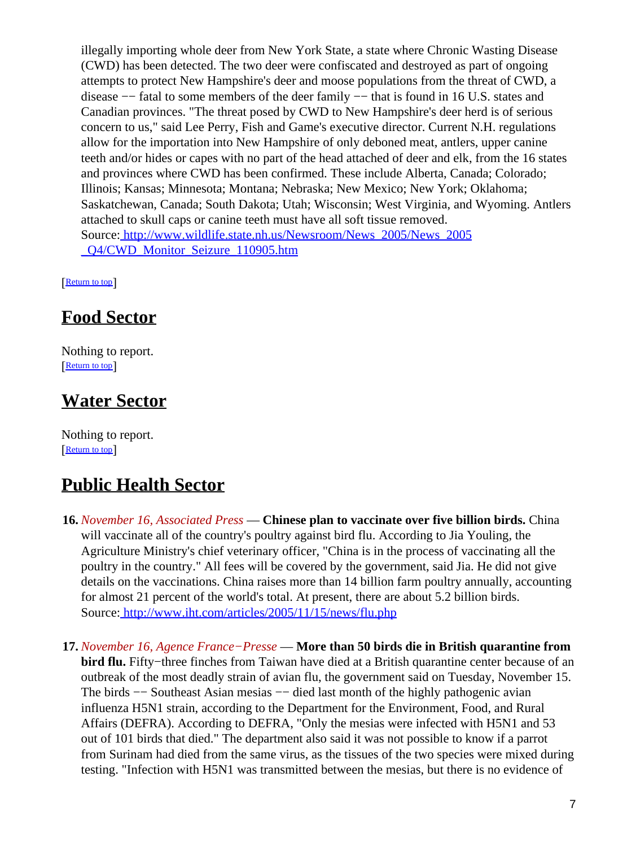illegally importing whole deer from New York State, a state where Chronic Wasting Disease (CWD) has been detected. The two deer were confiscated and destroyed as part of ongoing attempts to protect New Hampshire's deer and moose populations from the threat of CWD, a disease −− fatal to some members of the deer family −− that is found in 16 U.S. states and Canadian provinces. "The threat posed by CWD to New Hampshire's deer herd is of serious concern to us," said Lee Perry, Fish and Game's executive director. Current N.H. regulations allow for the importation into New Hampshire of only deboned meat, antlers, upper canine teeth and/or hides or capes with no part of the head attached of deer and elk, from the 16 states and provinces where CWD has been confirmed. These include Alberta, Canada; Colorado; Illinois; Kansas; Minnesota; Montana; Nebraska; New Mexico; New York; Oklahoma; Saskatchewan, Canada; South Dakota; Utah; Wisconsin; West Virginia, and Wyoming. Antlers attached to skull caps or canine teeth must have all soft tissue removed. Source[: http://www.wildlife.state.nh.us/Newsroom/News\\_2005/News\\_2005](http://www.wildlife.state.nh.us/Newsroom/News_2005/News_2005_Q4/CWD_Monitor_Seizure_110905.htm) [\\_Q4/CWD\\_Monitor\\_Seizure\\_110905.htm](http://www.wildlife.state.nh.us/Newsroom/News_2005/News_2005_Q4/CWD_Monitor_Seizure_110905.htm)

[[Return to top](#page-0-1)]

## <span id="page-6-0"></span>**Food Sector**

Nothing to report. [[Return to top](#page-0-1)]

## <span id="page-6-1"></span>**Water Sector**

Nothing to report. [[Return to top](#page-0-1)]

## <span id="page-6-2"></span>**Public Health Sector**

- **16.** *November 16, Associated Press* — **Chinese plan to vaccinate over five billion birds.** China will vaccinate all of the country's poultry against bird flu. According to Jia Youling, the Agriculture Ministry's chief veterinary officer, "China is in the process of vaccinating all the poultry in the country." All fees will be covered by the government, said Jia. He did not give details on the vaccinations. China raises more than 14 billion farm poultry annually, accounting for almost 21 percent of the world's total. At present, there are about 5.2 billion birds. Source[: http://www.iht.com/articles/2005/11/15/news/flu.php](http://www.iht.com/articles/2005/11/15/news/flu.php)
- **17.** *November 16, Agence France−Presse* — **More than 50 birds die in British quarantine from bird flu.** Fifty−three finches from Taiwan have died at a British quarantine center because of an outbreak of the most deadly strain of avian flu, the government said on Tuesday, November 15. The birds −− Southeast Asian mesias −− died last month of the highly pathogenic avian influenza H5N1 strain, according to the Department for the Environment, Food, and Rural Affairs (DEFRA). According to DEFRA, "Only the mesias were infected with H5N1 and 53 out of 101 birds that died." The department also said it was not possible to know if a parrot from Surinam had died from the same virus, as the tissues of the two species were mixed during testing. "Infection with H5N1 was transmitted between the mesias, but there is no evidence of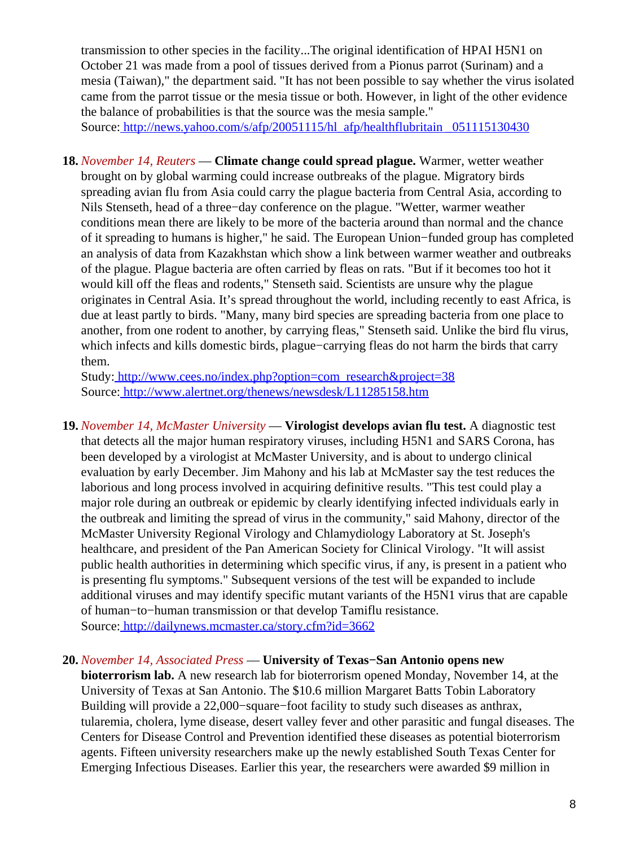transmission to other species in the facility...The original identification of HPAI H5N1 on October 21 was made from a pool of tissues derived from a Pionus parrot (Surinam) and a mesia (Taiwan)," the department said. "It has not been possible to say whether the virus isolated came from the parrot tissue or the mesia tissue or both. However, in light of the other evidence the balance of probabilities is that the source was the mesia sample." Source[: http://news.yahoo.com/s/afp/20051115/hl\\_afp/healthflubritain \\_051115130430](http://news.yahoo.com/s/afp/20051115/hl_afp/healthflubritain_051115130430)

**18.** *November 14, Reuters* — **Climate change could spread plague.** Warmer, wetter weather brought on by global warming could increase outbreaks of the plague. Migratory birds spreading avian flu from Asia could carry the plague bacteria from Central Asia, according to Nils Stenseth, head of a three−day conference on the plague. "Wetter, warmer weather conditions mean there are likely to be more of the bacteria around than normal and the chance of it spreading to humans is higher," he said. The European Union−funded group has completed an analysis of data from Kazakhstan which show a link between warmer weather and outbreaks of the plague. Plague bacteria are often carried by fleas on rats. "But if it becomes too hot it would kill off the fleas and rodents," Stenseth said. Scientists are unsure why the plague originates in Central Asia. It's spread throughout the world, including recently to east Africa, is due at least partly to birds. "Many, many bird species are spreading bacteria from one place to another, from one rodent to another, by carrying fleas," Stenseth said. Unlike the bird flu virus, which infects and kills domestic birds, plague−carrying fleas do not harm the birds that carry them.

Study[: http://www.cees.no/index.php?option=com\\_research&project=38](http://www.cees.no/index.php?option=com_research&project=38) Source[: http://www.alertnet.org/thenews/newsdesk/L11285158.htm](http://www.alertnet.org/thenews/newsdesk/L11285158.htm)

**19.** *November 14, McMaster University* — **Virologist develops avian flu test.** A diagnostic test that detects all the major human respiratory viruses, including H5N1 and SARS Corona, has been developed by a virologist at McMaster University, and is about to undergo clinical evaluation by early December. Jim Mahony and his lab at McMaster say the test reduces the laborious and long process involved in acquiring definitive results. "This test could play a major role during an outbreak or epidemic by clearly identifying infected individuals early in the outbreak and limiting the spread of virus in the community," said Mahony, director of the McMaster University Regional Virology and Chlamydiology Laboratory at St. Joseph's healthcare, and president of the Pan American Society for Clinical Virology. "It will assist public health authorities in determining which specific virus, if any, is present in a patient who is presenting flu symptoms." Subsequent versions of the test will be expanded to include additional viruses and may identify specific mutant variants of the H5N1 virus that are capable of human−to−human transmission or that develop Tamiflu resistance. Source[: http://dailynews.mcmaster.ca/story.cfm?id=3662](http://dailynews.mcmaster.ca/story.cfm?id=3662)

#### <span id="page-7-0"></span>**20.** *November 14, Associated Press* — **University of Texas−San Antonio opens new**

**bioterrorism lab.** A new research lab for bioterrorism opened Monday, November 14, at the University of Texas at San Antonio. The \$10.6 million Margaret Batts Tobin Laboratory Building will provide a 22,000−square−foot facility to study such diseases as anthrax, tularemia, cholera, lyme disease, desert valley fever and other parasitic and fungal diseases. The Centers for Disease Control and Prevention identified these diseases as potential bioterrorism agents. Fifteen university researchers make up the newly established South Texas Center for Emerging Infectious Diseases. Earlier this year, the researchers were awarded \$9 million in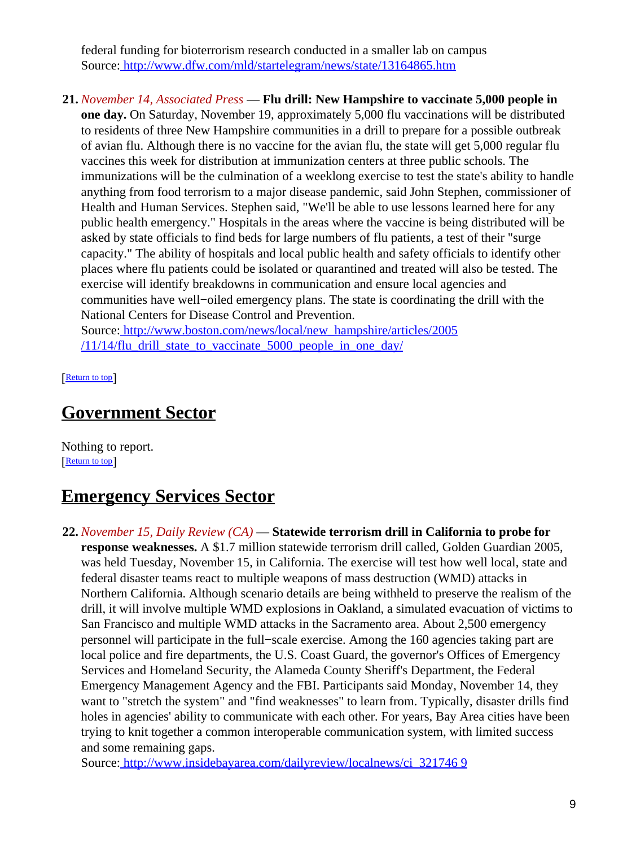federal funding for bioterrorism research conducted in a smaller lab on campus Source[: http://www.dfw.com/mld/startelegram/news/state/13164865.htm](http://www.dfw.com/mld/startelegram/news/state/13164865.htm)

**21.** *November 14, Associated Press* — **Flu drill: New Hampshire to vaccinate 5,000 people in one day.** On Saturday, November 19, approximately 5,000 flu vaccinations will be distributed to residents of three New Hampshire communities in a drill to prepare for a possible outbreak of avian flu. Although there is no vaccine for the avian flu, the state will get 5,000 regular flu vaccines this week for distribution at immunization centers at three public schools. The immunizations will be the culmination of a weeklong exercise to test the state's ability to handle anything from food terrorism to a major disease pandemic, said John Stephen, commissioner of Health and Human Services. Stephen said, "We'll be able to use lessons learned here for any public health emergency." Hospitals in the areas where the vaccine is being distributed will be asked by state officials to find beds for large numbers of flu patients, a test of their "surge capacity." The ability of hospitals and local public health and safety officials to identify other places where flu patients could be isolated or quarantined and treated will also be tested. The exercise will identify breakdowns in communication and ensure local agencies and communities have well−oiled emergency plans. The state is coordinating the drill with the National Centers for Disease Control and Prevention. Source[: http://www.boston.com/news/local/new\\_hampshire/articles/2005](http://www.boston.com/news/local/new_hampshire/articles/2005/11/14/flu_drill_state_to_vaccinate_5000_people_in_one_day/)  $/11/14$ /flu drill state to vaccinate  $5000$  people in one day/

[[Return to top](#page-0-1)]

## <span id="page-8-0"></span>**Government Sector**

Nothing to report. **[Return to top](#page-0-1)** 

## <span id="page-8-1"></span>**Emergency Services Sector**

**22.** *November 15, Daily Review (CA)* — **Statewide terrorism drill in California to probe for response weaknesses.** A \$1.7 million statewide terrorism drill called, Golden Guardian 2005, was held Tuesday, November 15, in California. The exercise will test how well local, state and federal disaster teams react to multiple weapons of mass destruction (WMD) attacks in Northern California. Although scenario details are being withheld to preserve the realism of the drill, it will involve multiple WMD explosions in Oakland, a simulated evacuation of victims to San Francisco and multiple WMD attacks in the Sacramento area. About 2,500 emergency personnel will participate in the full−scale exercise. Among the 160 agencies taking part are local police and fire departments, the U.S. Coast Guard, the governor's Offices of Emergency Services and Homeland Security, the Alameda County Sheriff's Department, the Federal Emergency Management Agency and the FBI. Participants said Monday, November 14, they want to "stretch the system" and "find weaknesses" to learn from. Typically, disaster drills find holes in agencies' ability to communicate with each other. For years, Bay Area cities have been trying to knit together a common interoperable communication system, with limited success and some remaining gaps.

Source[: http://www.insidebayarea.com/dailyreview/localnews/ci\\_321746 9](http://www.insidebayarea.com/dailyreview/localnews/ci_3217469)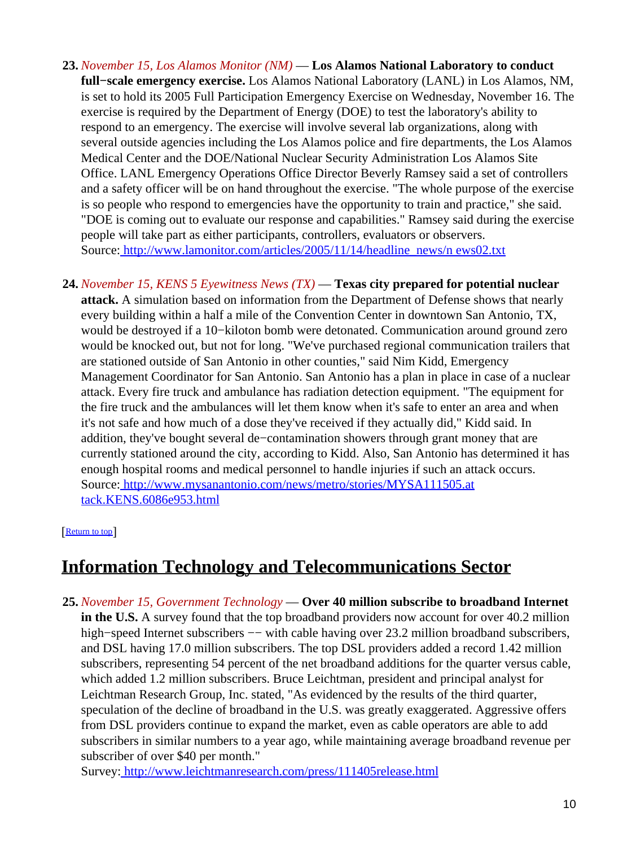- **23.** *November 15, Los Alamos Monitor (NM)* — **Los Alamos National Laboratory to conduct full−scale emergency exercise.** Los Alamos National Laboratory (LANL) in Los Alamos, NM, is set to hold its 2005 Full Participation Emergency Exercise on Wednesday, November 16. The exercise is required by the Department of Energy (DOE) to test the laboratory's ability to respond to an emergency. The exercise will involve several lab organizations, along with several outside agencies including the Los Alamos police and fire departments, the Los Alamos Medical Center and the DOE/National Nuclear Security Administration Los Alamos Site Office. LANL Emergency Operations Office Director Beverly Ramsey said a set of controllers and a safety officer will be on hand throughout the exercise. "The whole purpose of the exercise is so people who respond to emergencies have the opportunity to train and practice," she said. "DOE is coming out to evaluate our response and capabilities." Ramsey said during the exercise people will take part as either participants, controllers, evaluators or observers. Source[: http://www.lamonitor.com/articles/2005/11/14/headline\\_news/n ews02.txt](http://www.lamonitor.com/articles/2005/11/14/headline_news/news02.txt)
- **24.** *November 15, KENS 5 Eyewitness News (TX)* — **Texas city prepared for potential nuclear attack.** A simulation based on information from the Department of Defense shows that nearly every building within a half a mile of the Convention Center in downtown San Antonio, TX, would be destroyed if a 10−kiloton bomb were detonated. Communication around ground zero would be knocked out, but not for long. "We've purchased regional communication trailers that are stationed outside of San Antonio in other counties," said Nim Kidd, Emergency Management Coordinator for San Antonio. San Antonio has a plan in place in case of a nuclear attack. Every fire truck and ambulance has radiation detection equipment. "The equipment for the fire truck and the ambulances will let them know when it's safe to enter an area and when it's not safe and how much of a dose they've received if they actually did," Kidd said. In addition, they've bought several de−contamination showers through grant money that are currently stationed around the city, according to Kidd. Also, San Antonio has determined it has enough hospital rooms and medical personnel to handle injuries if such an attack occurs. Source[: http://www.mysanantonio.com/news/metro/stories/MYSA111505.at](http://www.mysanantonio.com/news/metro/stories/MYSA111505.attack.KENS.6086e953.html) [tack.KENS.6086e953.html](http://www.mysanantonio.com/news/metro/stories/MYSA111505.attack.KENS.6086e953.html)

#### [[Return to top](#page-0-1)]

## <span id="page-9-0"></span>**Information Technology and Telecommunications Sector**

**25.** *November 15, Government Technology* — **Over 40 million subscribe to broadband Internet in the U.S.** A survey found that the top broadband providers now account for over 40.2 million high–speed Internet subscribers —– with cable having over 23.2 million broadband subscribers, and DSL having 17.0 million subscribers. The top DSL providers added a record 1.42 million subscribers, representing 54 percent of the net broadband additions for the quarter versus cable, which added 1.2 million subscribers. Bruce Leichtman, president and principal analyst for Leichtman Research Group, Inc. stated, "As evidenced by the results of the third quarter, speculation of the decline of broadband in the U.S. was greatly exaggerated. Aggressive offers from DSL providers continue to expand the market, even as cable operators are able to add subscribers in similar numbers to a year ago, while maintaining average broadband revenue per subscriber of over \$40 per month."

Survey[: http://www.leichtmanresearch.com/press/111405release.html](http://www.leichtmanresearch.com/press/111405release.html)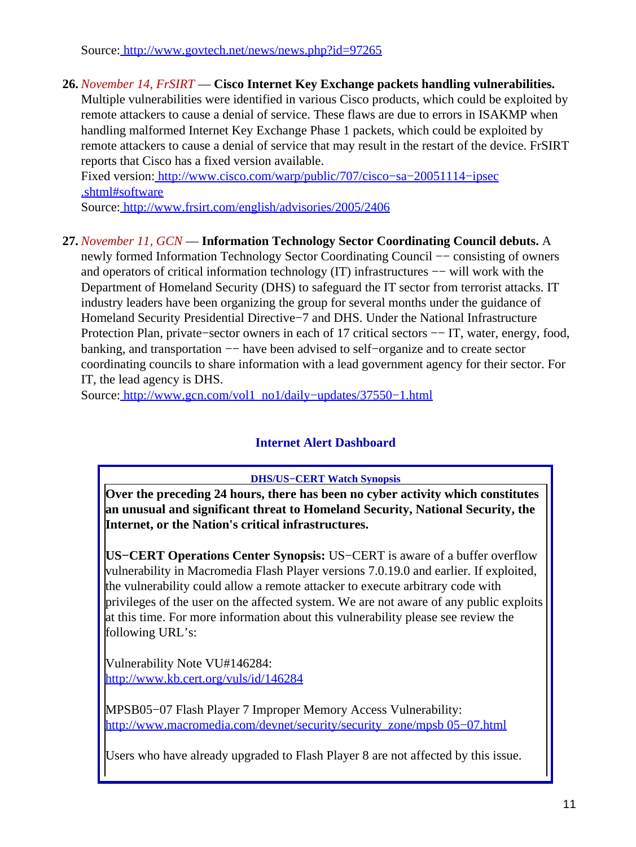Source[: http://www.govtech.net/news/news.php?id=97265](http://www.govtech.net/news/news.php?id=97265)

### **26.** *November 14, FrSIRT* — **Cisco Internet Key Exchange packets handling vulnerabilities.**

Multiple vulnerabilities were identified in various Cisco products, which could be exploited by remote attackers to cause a denial of service. These flaws are due to errors in ISAKMP when handling malformed Internet Key Exchange Phase 1 packets, which could be exploited by remote attackers to cause a denial of service that may result in the restart of the device. FrSIRT reports that Cisco has a fixed version available.

Fixed version: [http://www.cisco.com/warp/public/707/cisco−sa−20051114−ipsec](http://www.cisco.com/warp/public/707/cisco-sa-20051114-ipsec.shtml#software) [.shtml#software](http://www.cisco.com/warp/public/707/cisco-sa-20051114-ipsec.shtml#software)

Source[: http://www.frsirt.com/english/advisories/2005/2406](http://www.frsirt.com/english/advisories/2005/2406)

### **27.** *November 11, GCN* — **Information Technology Sector Coordinating Council debuts.** A

newly formed Information Technology Sector Coordinating Council −− consisting of owners and operators of critical information technology (IT) infrastructures −− will work with the Department of Homeland Security (DHS) to safeguard the IT sector from terrorist attacks. IT industry leaders have been organizing the group for several months under the guidance of Homeland Security Presidential Directive−7 and DHS. Under the National Infrastructure Protection Plan, private–sector owners in each of 17 critical sectors –− IT, water, energy, food, banking, and transportation −− have been advised to self−organize and to create sector coordinating councils to share information with a lead government agency for their sector. For IT, the lead agency is DHS.

<span id="page-10-0"></span>Source[: http://www.gcn.com/vol1\\_no1/daily−updates/37550−1.html](http://www.gcn.com/vol1_no1/daily-updates/37550-1.html)

### **Internet Alert Dashboard**

**DHS/US−CERT Watch Synopsis**

**Over the preceding 24 hours, there has been no cyber activity which constitutes an unusual and significant threat to Homeland Security, National Security, the Internet, or the Nation's critical infrastructures.**

**US−CERT Operations Center Synopsis:** US−CERT is aware of a buffer overflow vulnerability in Macromedia Flash Player versions 7.0.19.0 and earlier. If exploited, the vulnerability could allow a remote attacker to execute arbitrary code with privileges of the user on the affected system. We are not aware of any public exploits at this time. For more information about this vulnerability please see review the following URL's:

Vulnerability Note VU#146284: <http://www.kb.cert.org/vuls/id/146284>

MPSB05−07 Flash Player 7 Improper Memory Access Vulnerability: [http://www.macromedia.com/devnet/security/security\\_zone/mpsb 05−07.html](http://www.macromedia.com/devnet/security/security_zone/mpsb05-07.html)

Users who have already upgraded to Flash Player 8 are not affected by this issue.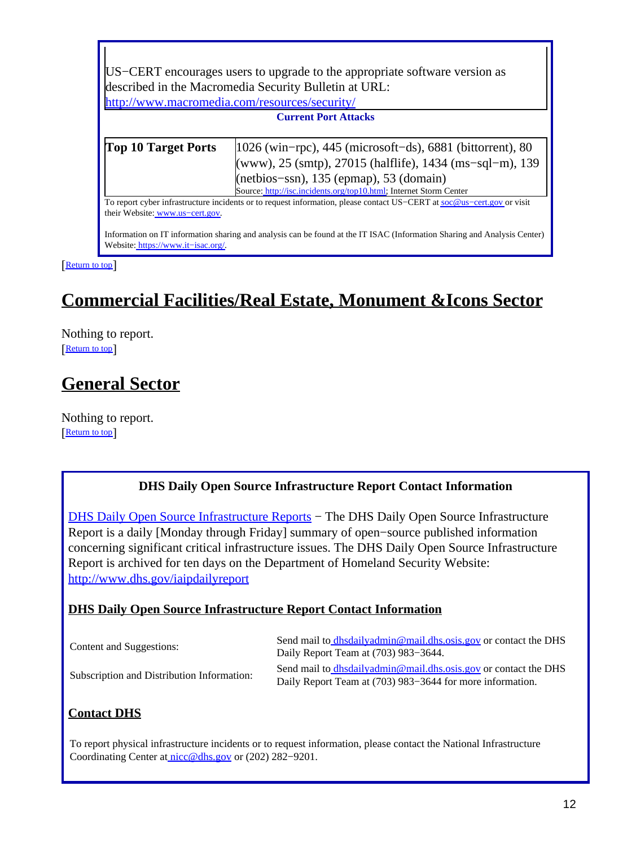| US–CERT encourages users to upgrade to the appropriate software version as                                             |                                                                                                                          |  |
|------------------------------------------------------------------------------------------------------------------------|--------------------------------------------------------------------------------------------------------------------------|--|
| described in the Macromedia Security Bulletin at URL:                                                                  |                                                                                                                          |  |
| http://www.macromedia.com/resources/security/                                                                          |                                                                                                                          |  |
| <b>Current Port Attacks</b>                                                                                            |                                                                                                                          |  |
|                                                                                                                        |                                                                                                                          |  |
| Top 10 Target Ports                                                                                                    | $ 1026 \text{ (win–rpc)} $ , 445 (microsoft-ds), 6881 (bittorrent), 80                                                   |  |
|                                                                                                                        | (www), 25 (smtp), 27015 (halflife), 1434 (ms-sql-m), 139                                                                 |  |
|                                                                                                                        | (netbios-ssn), 135 (epmap), 53 (domain)                                                                                  |  |
|                                                                                                                        | Source: http://isc.incidents.org/top10.html; Internet Storm Center                                                       |  |
| To report cyber infrastructure incidents or to request information, please contact US-CERT at soc@us-cert.gov or visit |                                                                                                                          |  |
| their Website: www.us-cert.gov.                                                                                        |                                                                                                                          |  |
| Website: https://www.it-isac.org/                                                                                      | Information on IT information sharing and analysis can be found at the IT ISAC (Information Sharing and Analysis Center) |  |

#### [[Return to top](#page-0-1)]

 $\Gamma$ 

# <span id="page-11-0"></span>**Commercial Facilities/Real Estate, Monument &Icons Sector**

Nothing to report. [[Return to top](#page-0-1)]

## <span id="page-11-1"></span>**General Sector**

Nothing to report. [[Return to top](#page-0-1)]

### **DHS Daily Open Source Infrastructure Report Contact Information**

<span id="page-11-2"></span>[DHS Daily Open Source Infrastructure Reports](http://www.dhs.gov/iaipdailyreport) - The DHS Daily Open Source Infrastructure Report is a daily [Monday through Friday] summary of open−source published information concerning significant critical infrastructure issues. The DHS Daily Open Source Infrastructure Report is archived for ten days on the Department of Homeland Security Website: <http://www.dhs.gov/iaipdailyreport>

#### **DHS Daily Open Source Infrastructure Report Contact Information**

| Content and Suggestions:                   | Send mail to dhsdailyadmin@mail.dhs.osis.gov or contact the DHS<br>Daily Report Team at (703) 983–3644.                      |
|--------------------------------------------|------------------------------------------------------------------------------------------------------------------------------|
| Subscription and Distribution Information: | Send mail to dhsdailyadmin@mail.dhs.osis.gov or contact the DHS<br>Daily Report Team at (703) 983–3644 for more information. |

### **Contact DHS**

To report physical infrastructure incidents or to request information, please contact the National Infrastructure Coordinating Center at [nicc@dhs.gov](mailto:nicc@dhs.gov) or (202) 282−9201.